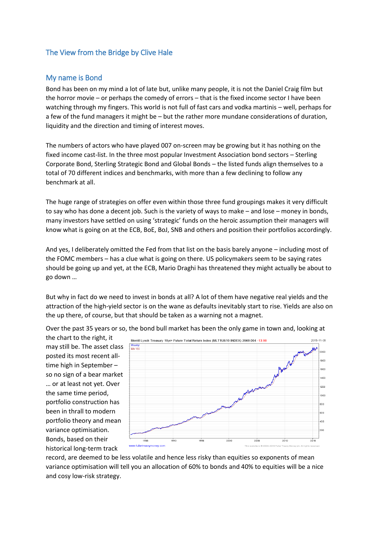## The View from the Bridge by Clive Hale

## My name is Bond

Bond has been on my mind a lot of late but, unlike many people, it is not the Daniel Craig film but the horror movie – or perhaps the comedy of errors – that is the fixed income sector I have been watching through my fingers. This world is not full of fast cars and vodka martinis – well, perhaps for a few of the fund managers it might be – but the rather more mundane considerations of duration, liquidity and the direction and timing of interest moves.

The numbers of actors who have played 007 on-screen may be growing but it has nothing on the fixed income cast-list. In the three most popular Investment Association bond sectors – Sterling Corporate Bond, Sterling Strategic Bond and Global Bonds – the listed funds align themselves to a total of 70 different indices and benchmarks, with more than a few declining to follow any benchmark at all.

The huge range of strategies on offer even within those three fund groupings makes it very difficult to say who has done a decent job. Such is the variety of ways to make – and lose – money in bonds, many investors have settled on using 'strategic' funds on the heroic assumption their managers will know what is going on at the ECB, BoE, BoJ, SNB and others and position their portfolios accordingly.

And yes, I deliberately omitted the Fed from that list on the basis barely anyone – including most of the FOMC members – has a clue what is going on there. US policymakers seem to be saying rates should be going up and yet, at the ECB, Mario Draghi has threatened they might actually be about to go down …

But why in fact do we need to invest in bonds at all? A lot of them have negative real yields and the attraction of the high-yield sector is on the wane as defaults inevitably start to rise. Yields are also on the up there, of course, but that should be taken as a warning not a magnet.

Over the past 35 years or so, the bond bull market has been the only game in town and, looking at

the chart to the right, it may still be. The asset class posted its most recent alltime high in September – so no sign of a bear market … or at least not yet. Over the same time period, portfolio construction has been in thrall to modern portfolio theory and mean variance optimisation. Bonds, based on their historical long-term track



record, are deemed to be less volatile and hence less risky than equities so exponents of mean variance optimisation will tell you an allocation of 60% to bonds and 40% to equities will be a nice and cosy low-risk strategy.